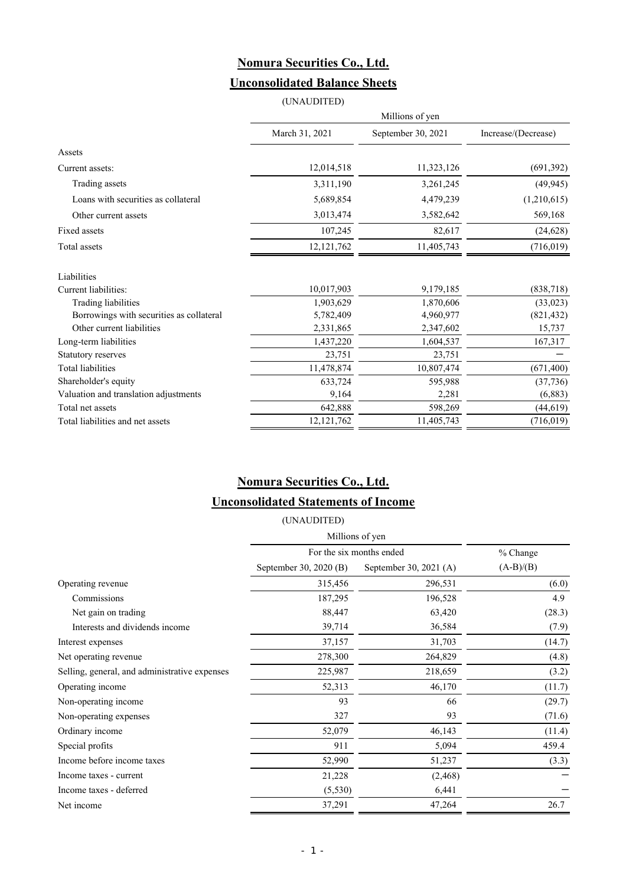## **Nomura Securities Co., Ltd. Unconsolidated Balance Sheets**

|                                          | (UNAUDITED)     |                    |                     |  |
|------------------------------------------|-----------------|--------------------|---------------------|--|
|                                          | Millions of yen |                    |                     |  |
|                                          | March 31, 2021  | September 30, 2021 | Increase/(Decrease) |  |
| Assets                                   |                 |                    |                     |  |
| Current assets:                          | 12,014,518      | 11,323,126         | (691, 392)          |  |
| Trading assets                           | 3,311,190       | 3,261,245          | (49, 945)           |  |
| Loans with securities as collateral      | 5,689,854       | 4,479,239          | (1,210,615)         |  |
| Other current assets                     | 3,013,474       | 3,582,642          | 569,168             |  |
| Fixed assets                             | 107,245         | 82,617             | (24, 628)           |  |
| Total assets                             | 12, 121, 762    | 11,405,743         | (716, 019)          |  |
| Liabilities                              |                 |                    |                     |  |
| Current liabilities:                     | 10,017,903      | 9,179,185          | (838, 718)          |  |
| Trading liabilities                      | 1,903,629       | 1,870,606          | (33, 023)           |  |
| Borrowings with securities as collateral | 5,782,409       | 4,960,977          | (821, 432)          |  |
| Other current liabilities                | 2,331,865       | 2,347,602          | 15,737              |  |
| Long-term liabilities                    | 1,437,220       | 1,604,537          | 167,317             |  |
| <b>Statutory reserves</b>                | 23,751          | 23,751             |                     |  |
| <b>Total liabilities</b>                 | 11,478,874      | 10,807,474         | (671, 400)          |  |
| Shareholder's equity                     | 633,724         | 595,988            | (37, 736)           |  |
| Valuation and translation adjustments    | 9,164           | 2,281              | (6, 883)            |  |
| Total net assets                         | 642,888         | 598,269            | (44, 619)           |  |
| Total liabilities and net assets         | 12, 121, 762    | 11,405,743         | (716, 019)          |  |

# **Nomura Securities Co., Ltd.**

### **Unconsolidated Statements of Income**

| (UNAUDITED)            |                        |                          |  |
|------------------------|------------------------|--------------------------|--|
| Millions of yen        |                        |                          |  |
|                        | % Change               |                          |  |
| September 30, 2020 (B) | September 30, 2021 (A) | $(A-B)/(B)$              |  |
| 315,456                | 296,531                | (6.0)                    |  |
| 187,295                | 196,528                | 4.9                      |  |
| 88,447                 | 63,420                 | (28.3)                   |  |
| 39,714                 | 36,584                 | (7.9)                    |  |
| 37,157                 | 31,703                 | (14.7)                   |  |
| 278,300                | 264,829                | (4.8)                    |  |
| 225,987                | 218,659                | (3.2)                    |  |
| 52,313                 | 46,170                 | (11.7)                   |  |
| 93                     | 66                     | (29.7)                   |  |
| 327                    | 93                     | (71.6)                   |  |
| 52,079                 | 46,143                 | (11.4)                   |  |
| 911                    | 5,094                  | 459.4                    |  |
| 52,990                 | 51,237                 | (3.3)                    |  |
| 21,228                 | (2, 468)               |                          |  |
| (5,530)                | 6,441                  |                          |  |
| 37,291                 | 47,264                 | 26.7                     |  |
|                        |                        | For the six months ended |  |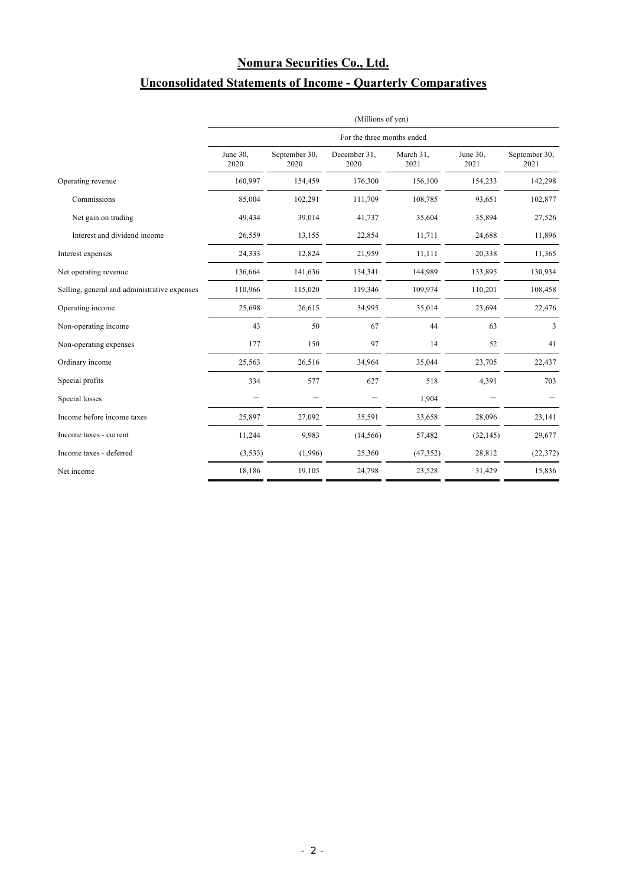# **Nomura Securities Co., Ltd. Unconsolidated Statements of Income - Quarterly Comparatives**

|                                              | (Millions of yen)<br>For the three months ended |                       |                      |                   |                  |                       |
|----------------------------------------------|-------------------------------------------------|-----------------------|----------------------|-------------------|------------------|-----------------------|
|                                              |                                                 |                       |                      |                   |                  |                       |
|                                              | June 30,<br>2020                                | September 30,<br>2020 | December 31,<br>2020 | March 31,<br>2021 | June 30,<br>2021 | September 30,<br>2021 |
| Operating revenue                            | 160,997                                         | 154,459               | 176,300              | 156,100           | 154,233          | 142,298               |
| Commissions                                  | 85,004                                          | 102,291               | 111,709              | 108,785           | 93,651           | 102,877               |
| Net gain on trading                          | 49,434                                          | 39,014                | 41,737               | 35,604            | 35,894           | 27,526                |
| Interest and dividend income                 | 26,559                                          | 13,155                | 22,854               | 11,711            | 24,688           | 11,896                |
| Interest expenses                            | 24,333                                          | 12,824                | 21,959               | 11,111            | 20,338           | 11,365                |
| Net operating revenue                        | 136,664                                         | 141,636               | 154,341              | 144,989           | 133,895          | 130,934               |
| Selling, general and administrative expenses | 110,966                                         | 115,020               | 119,346              | 109,974           | 110,201          | 108,458               |
| Operating income                             | 25,698                                          | 26,615                | 34,995               | 35,014            | 23,694           | 22,476                |
| Non-operating income                         | 43                                              | 50                    | 67                   | 44                | 63               | 3                     |
| Non-operating expenses                       | 177                                             | 150                   | 97                   | 14                | 52               | 41                    |
| Ordinary income                              | 25,563                                          | 26,516                | 34,964               | 35,044            | 23,705           | 22,437                |
| Special profits                              | 334                                             | 577                   | 627                  | 518               | 4,391            | 703                   |
| Special losses                               |                                                 |                       |                      | 1,904             |                  |                       |
| Income before income taxes                   | 25,897                                          | 27,092                | 35,591               | 33,658            | 28,096           | 23,141                |
| Income taxes - current                       | 11,244                                          | 9,983                 | (14, 566)            | 57,482            | (32, 145)        | 29,677                |
| Income taxes - deferred                      | (3,533)                                         | (1,996)               | 25,360               | (47, 352)         | 28,812           | (22, 372)             |
| Net income                                   | 18,186                                          | 19,105                | 24,798               | 23,528            | 31,429           | 15,836                |